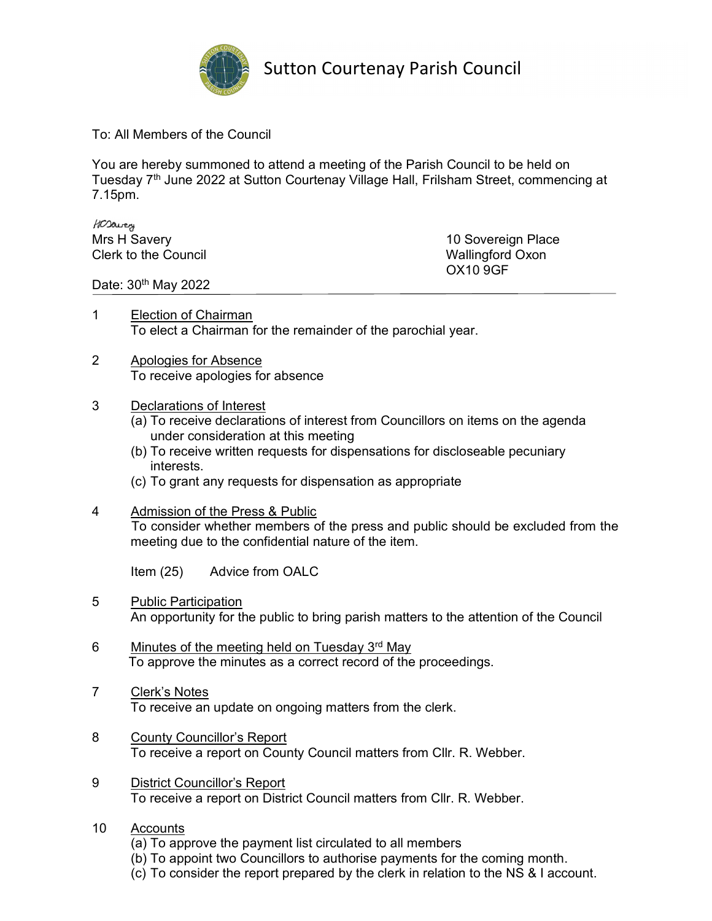

Sutton Courtenay Parish Council

To: All Members of the Council

You are hereby summoned to attend a meeting of the Parish Council to be held on Tuesday 7<sup>th</sup> June 2022 at Sutton Courtenay Village Hall, Frilsham Street, commencing at 7.15pm.

HOSavery Mrs H Savery **10 Sovereign Place** Clerk to the Council Wallingford Oxon

OX10 9GF

Date: 30<sup>th</sup> May 2022

- 1 Election of Chairman To elect a Chairman for the remainder of the parochial year.
- 2 Apologies for Absence To receive apologies for absence
- 3 Declarations of Interest
	- (a) To receive declarations of interest from Councillors on items on the agenda under consideration at this meeting
	- (b) To receive written requests for dispensations for discloseable pecuniary interests.
	- (c) To grant any requests for dispensation as appropriate
- 4 Admission of the Press & Public To consider whether members of the press and public should be excluded from the meeting due to the confidential nature of the item.

Item (25) Advice from OALC

- 5 Public Participation An opportunity for the public to bring parish matters to the attention of the Council
- 6 Minutes of the meeting held on Tuesday  $3<sup>rd</sup>$  May To approve the minutes as a correct record of the proceedings.
- 7 Clerk's Notes To receive an update on ongoing matters from the clerk.
- 8 County Councillor's Report To receive a report on County Council matters from Cllr. R. Webber.
- 9 District Councillor's Report To receive a report on District Council matters from Cllr. R. Webber.
- 10 Accounts
	- (a) To approve the payment list circulated to all members
	- (b) To appoint two Councillors to authorise payments for the coming month.
	- (c) To consider the report prepared by the clerk in relation to the NS & I account.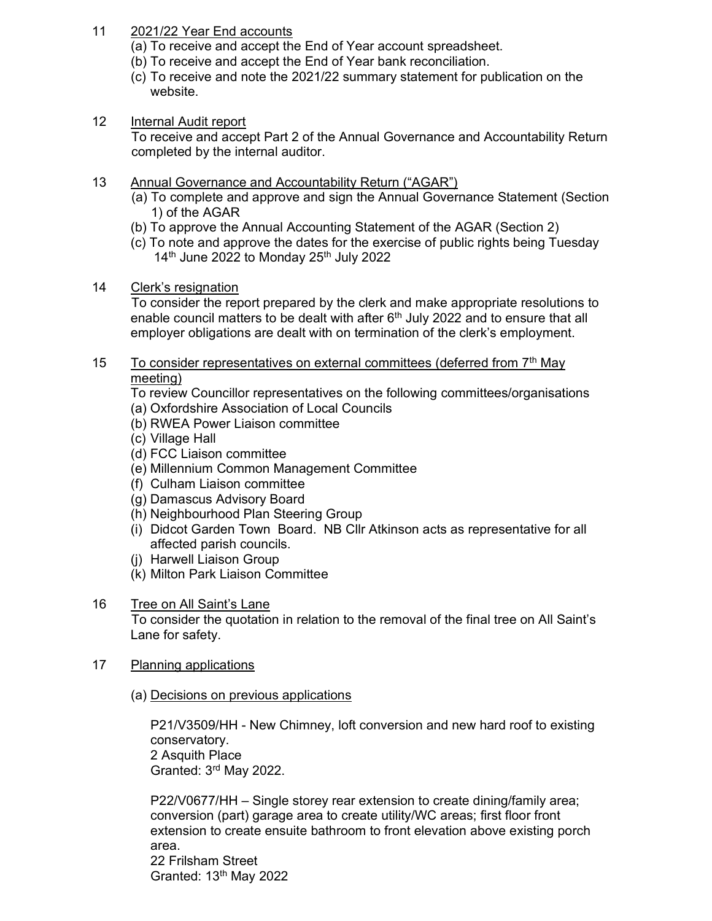- 11 2021/22 Year End accounts
	- (a) To receive and accept the End of Year account spreadsheet.
	- (b) To receive and accept the End of Year bank reconciliation.
	- (c) To receive and note the 2021/22 summary statement for publication on the website.
- 12 Internal Audit report

To receive and accept Part 2 of the Annual Governance and Accountability Return completed by the internal auditor.

- 13 Annual Governance and Accountability Return ("AGAR")
	- (a) To complete and approve and sign the Annual Governance Statement (Section 1) of the AGAR
	- (b) To approve the Annual Accounting Statement of the AGAR (Section 2)
	- (c) To note and approve the dates for the exercise of public rights being Tuesday  $14<sup>th</sup>$  June 2022 to Monday 25<sup>th</sup> July 2022
- 14 Clerk's resignation

 To consider the report prepared by the clerk and make appropriate resolutions to enable council matters to be dealt with after  $6<sup>th</sup>$  July 2022 and to ensure that all employer obligations are dealt with on termination of the clerk's employment.

15 To consider representatives on external committees (deferred from  $7<sup>th</sup>$  May meeting)

To review Councillor representatives on the following committees/organisations

- (a) Oxfordshire Association of Local Councils
- (b) RWEA Power Liaison committee
- (c) Village Hall
- (d) FCC Liaison committee
- (e) Millennium Common Management Committee
- (f) Culham Liaison committee
- (g) Damascus Advisory Board
- (h) Neighbourhood Plan Steering Group
- (i) Didcot Garden Town Board. NB Cllr Atkinson acts as representative for all affected parish councils.
- (j) Harwell Liaison Group
- (k) Milton Park Liaison Committee
- 16 Tree on All Saint's Lane

 To consider the quotation in relation to the removal of the final tree on All Saint's Lane for safety.

- 17 Planning applications
	- (a) Decisions on previous applications

P21/V3509/HH - New Chimney, loft conversion and new hard roof to existing conservatory. 2 Asquith Place Granted: 3rd May 2022.

P22/V0677/HH – Single storey rear extension to create dining/family area; conversion (part) garage area to create utility/WC areas; first floor front extension to create ensuite bathroom to front elevation above existing porch area. 22 Frilsham Street Granted: 13th May 2022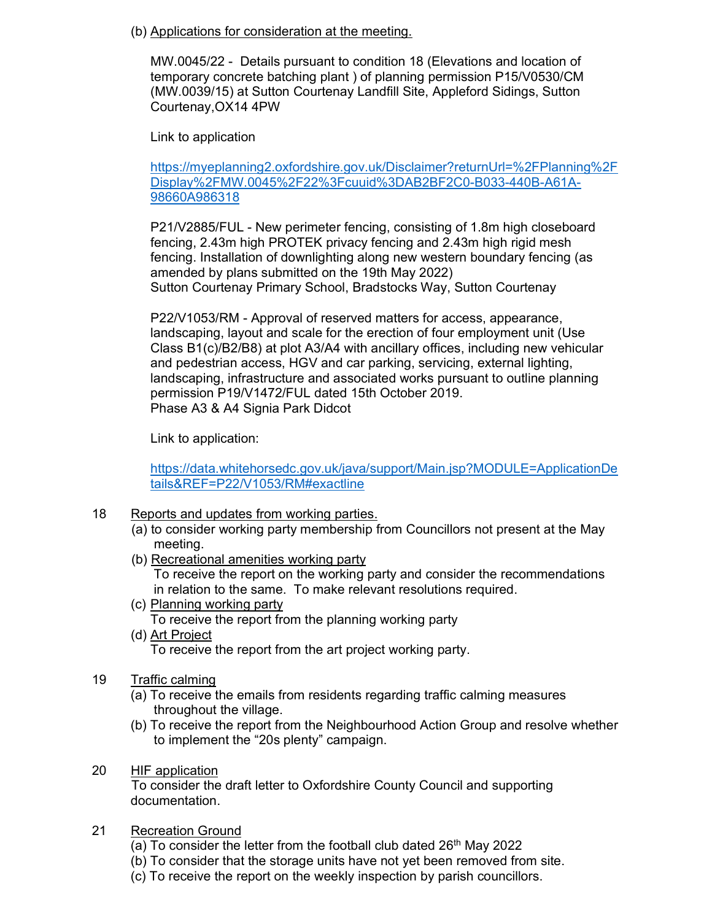(b) Applications for consideration at the meeting.

MW.0045/22 - Details pursuant to condition 18 (Elevations and location of temporary concrete batching plant ) of planning permission P15/V0530/CM (MW.0039/15) at Sutton Courtenay Landfill Site, Appleford Sidings, Sutton Courtenay,OX14 4PW

Link to application

https://myeplanning2.oxfordshire.gov.uk/Disclaimer?returnUrl=%2FPlanning%2F Display%2FMW.0045%2F22%3Fcuuid%3DAB2BF2C0-B033-440B-A61A-98660A986318

P21/V2885/FUL - New perimeter fencing, consisting of 1.8m high closeboard fencing, 2.43m high PROTEK privacy fencing and 2.43m high rigid mesh fencing. Installation of downlighting along new western boundary fencing (as amended by plans submitted on the 19th May 2022) Sutton Courtenay Primary School, Bradstocks Way, Sutton Courtenay

P22/V1053/RM - Approval of reserved matters for access, appearance, landscaping, layout and scale for the erection of four employment unit (Use Class B1(c)/B2/B8) at plot A3/A4 with ancillary offices, including new vehicular and pedestrian access, HGV and car parking, servicing, external lighting, landscaping, infrastructure and associated works pursuant to outline planning permission P19/V1472/FUL dated 15th October 2019. Phase A3 & A4 Signia Park Didcot

Link to application:

https://data.whitehorsedc.gov.uk/java/support/Main.jsp?MODULE=ApplicationDe tails&REF=P22/V1053/RM#exactline

- 18 Reports and updates from working parties.
	- (a) to consider working party membership from Councillors not present at the May meeting.
	- (b) Recreational amenities working party

To receive the report on the working party and consider the recommendations in relation to the same. To make relevant resolutions required.

(c) Planning working party

To receive the report from the planning working party

(d) Art Project

To receive the report from the art project working party.

- 19 Traffic calming
	- (a) To receive the emails from residents regarding traffic calming measures throughout the village.
	- (b) To receive the report from the Neighbourhood Action Group and resolve whether to implement the "20s plenty" campaign.
- 20 HIF application

 To consider the draft letter to Oxfordshire County Council and supporting documentation.

- 21 Recreation Ground
	- (a) To consider the letter from the football club dated  $26<sup>th</sup>$  May 2022
	- (b) To consider that the storage units have not yet been removed from site.
	- (c) To receive the report on the weekly inspection by parish councillors.